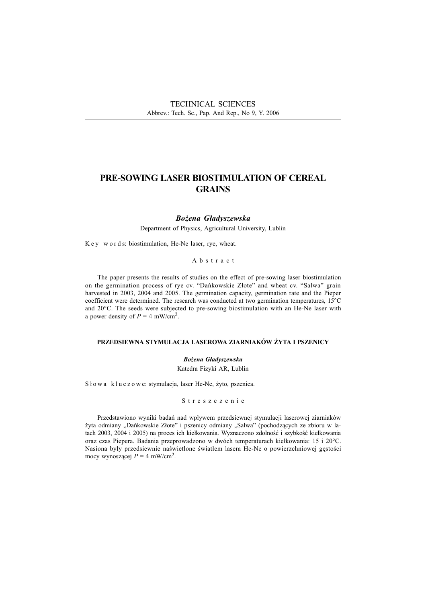# PRE-SOWING LASER BIOSTIMULATION OF CEREAL **GRAINS**

#### Bożena Gładyszewska

Department of Physics, Agricultural University, Lublin

K e y w o r d s: biostimulation, He-Ne laser, rye, wheat.

#### Abstract

The paper presents the results of studies on the effect of pre-sowing laser biostimulation on the germination process of rye cv. "Dańkowskie Złote" and wheat cv. "Salwa" grain harvested in 2003, 2004 and 2005. The germination capacity, germination rate and the Pieper coefficient were determined. The research was conducted at two germination temperatures, 15°C and 20°C. The seeds were subjected to pre-sowing biostimulation with an He-Ne laser with a power density of  $P = 4$  mW/cm<sup>2</sup>.

### PRZEDSIEWNA STYMULACJA LASEROWA ZIARNIAKÓW ŻYTA I PSZENICY

#### Bożena Gładyszewska

Katedra Fizyki AR, Lublin

Słowa kluczowe: stymulacja, laser He-Ne, żyto, pszenica.

#### Streszczenie

Przedstawiono wyniki badań nad wpływem przedsiewnej stymulacji laserowej ziarniaków żyta odmiany "Dańkowskie Złote" i pszenicy odmiany "Salwa" (pochodzących ze zbioru w latach 2003, 2004 i 2005) na proces ich kiełkowania. Wyznaczono zdolność i szybkość kiełkowania oraz czas Piepera. Badania przeprowadzono w dwóch temperaturach kiełkowania: 15 i 20°C. Nasiona były przedsiewnie naświetlone światłem lasera He-Ne o powierzchniowej gęstości mocy wynoszącej  $P = 4$  mW/cm<sup>2</sup>.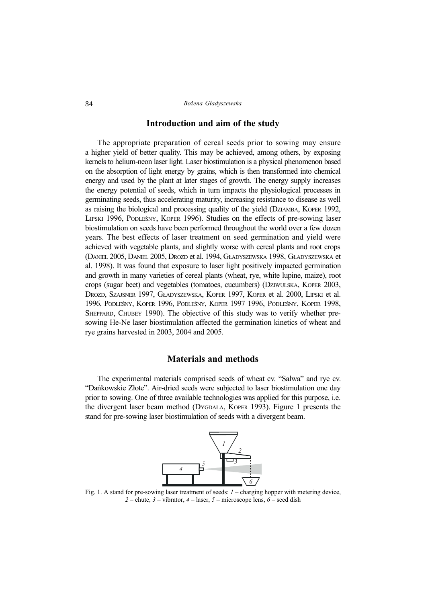### Introduction and aim of the study

The appropriate preparation of cereal seeds prior to sowing may ensure a higher yield of better quality. This may be achieved, among others, by exposing kernels to helium-neon laser light. Laser biostimulation is a physical phenomenon based on the absorption of light energy by grains, which is then transformed into chemical energy and used by the plant at later stages of growth. The energy supply increases the energy potential of seeds, which in turn impacts the physiological processes in germinating seeds, thus accelerating maturity, increasing resistance to disease as well as raising the biological and processing quality of the yield (DZIAMBA, KOPER 1992, LIPSKI 1996, PODLESNY, KOPER 1996). Studies on the effects of pre-sowing laser biostimulation on seeds have been performed throughout the world over a few dozen years. The best effects of laser treatment on seed germination and yield were achieved with vegetable plants, and slightly worse with cereal plants and root crops (DANIEL 2005, DANIEL 2005, DROZD et al. 1994, G£ADYSZEWSKA 1998, G£ADYSZEWSKA et al. 1998). It was found that exposure to laser light positively impacted germination and growth in many varieties of cereal plants (wheat, rye, white lupine, maize), root crops (sugar beet) and vegetables (tomatoes, cucumbers) (DZIWULSKA, KOPER 2003, DROZD, SZAJSNER 1997, GŁADYSZEWSKA, KOPER 1997, KOPER et al. 2000, LIPSKI et al. 1996, PODLEŚNY, KOPER 1996, PODLEŚNY, KOPER 1997 1996, PODLEŚNY, KOPER 1998, SHEPPARD, CHUBEY 1990). The objective of this study was to verify whether presowing He-Ne laser biostimulation affected the germination kinetics of wheat and rye grains harvested in 2003, 2004 and 2005.

# Materials and methods

The experimental materials comprised seeds of wheat cv. "Salwa" and rye cv. "Dańkowskie Złote". Air-dried seeds were subjected to laser biostimulation one day prior to sowing. One of three available technologies was applied for this purpose, i.e. the divergent laser beam method (DYGDA£A, KOPER 1993). Figure 1 presents the stand for pre-sowing laser biostimulation of seeds with a divergent beam.



Fig. 1. A stand for pre-sowing laser treatment of seeds:  $I$  – charging hopper with metering device, 2 – chute,  $3$  – vibrator,  $4$  – laser,  $5$  – microscope lens,  $6$  – seed dish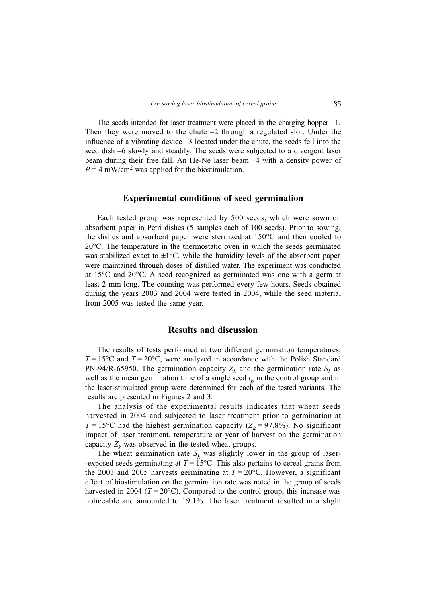The seeds intended for laser treatment were placed in the charging hopper  $-1$ . Then they were moved to the chute  $-2$  through a regulated slot. Under the influence of a vibrating device  $-3$  located under the chute, the seeds fell into the seed dish -6 slowly and steadily. The seeds were subjected to a divergent laser beam during their free fall. An He-Ne laser beam -4 with a density power of  $P = 4$  mW/cm<sup>2</sup> was applied for the biostimulation.

### Experimental conditions of seed germination

Each tested group was represented by 500 seeds, which were sown on absorbent paper in Petri dishes (5 samples each of 100 seeds). Prior to sowing, the dishes and absorbent paper were sterilized at  $150^{\circ}$ C and then cooled to 20°C. The temperature in the thermostatic oven in which the seeds germinated was stabilized exact to  $\pm 1^{\circ}$ C, while the humidity levels of the absorbent paper were maintained through doses of distilled water. The experiment was conducted at 15°C and 20°C. A seed recognized as germinated was one with a germ at least 2 mm long. The counting was performed every few hours. Seeds obtained during the years 2003 and 2004 were tested in 2004, while the seed material from 2005 was tested the same year.

### Results and discussion

The results of tests performed at two different germination temperatures,  $T = 15^{\circ}\text{C}$  and  $T = 20^{\circ}\text{C}$ , were analyzed in accordance with the Polish Standard PN-94/R-65950. The germination capacity  $Z_k$  and the germination rate  $S_k$  as well as the mean germination time of a single seed  $t_p$  in the control group and in the laser-stimulated group were determined for each of the tested variants. The results are presented in Figures 2 and 3.

The analysis of the experimental results indicates that wheat seeds harvested in 2004 and subjected to laser treatment prior to germination at  $T = 15^{\circ}$ C had the highest germination capacity ( $Z_k = 97.8\%$ ). No significant impact of laser treatment, temperature or year of harvest on the germination capacity  $Z_k$  was observed in the tested wheat groups.

The wheat germination rate  $S_k$  was slightly lower in the group of laser--exposed seeds germinating at  $T = 15^{\circ}\text{C}$ . This also pertains to cereal grains from the 2003 and 2005 harvests germinating at  $T = 20^{\circ}$ C. However, a significant effect of biostimulation on the germination rate was noted in the group of seeds harvested in 2004 ( $T = 20^{\circ}\text{C}$ ). Compared to the control group, this increase was noticeable and amounted to 19.1%. The laser treatment resulted in a slight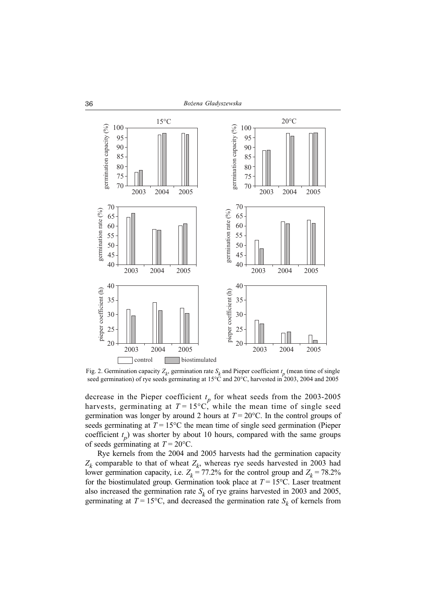

Fig. 2. Germination capacity  $Z_k$ , germination rate  $S_k$  and Pieper coefficient  $t_p$  (mean time of single

decrease in the Pieper coefficient  $t_p$  for wheat seeds from the 2003-2005 harvests, germinating at  $T = 15^{\circ}$ C, while the mean time of single seed germination was longer by around 2 hours at  $T = 20^{\circ}$ C. In the control groups of seeds germinating at  $T = 15^{\circ}\text{C}$  the mean time of single seed germination (Pieper coefficient  $t_p$ ) was shorter by about 10 hours, compared with the same groups of seeds germinating at  $T = 20$ °C.

Rye kernels from the 2004 and 2005 harvests had the germination capacity  $Z_k$  comparable to that of wheat  $Z_k$ , whereas rye seeds harvested in 2003 had lower germination capacity, i.e.  $Z_k = 77.2\%$  for the control group and  $Z_k = 78.2\%$ for the biostimulated group. Germination took place at  $T = 15^{\circ}$ C. Laser treatment also increased the germination rate  $S_k$  of rye grains harvested in 2003 and 2005, germinating at  $T = 15^{\circ}\text{C}$ , and decreased the germination rate  $S_k$  of kernels from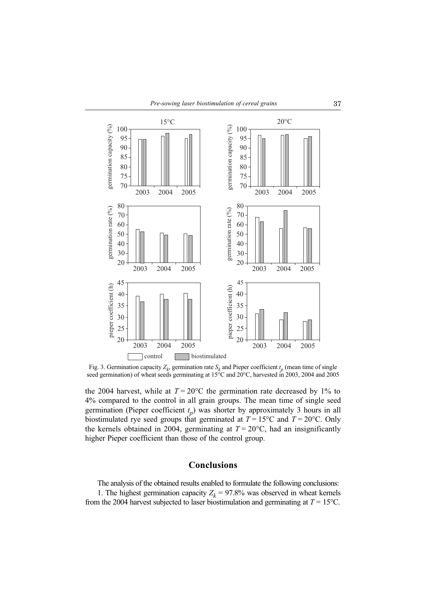

Fig. 3. Germination capacity  $Z_k$ , germination rate  $S_k$  and Pieper coefficient  $t_p$  (mean time of single

the 2004 harvest, while at  $T = 20^{\circ}$ C the germination rate decreased by 1% to 4% compared to the control in all grain groups. The mean time of single seed germination (Pieper coefficient  $t_p$ ) was shorter by approximately 3 hours in all biostimulated rye seed groups that germinated at  $T = 15^{\circ}\text{C}$  and  $T = 20^{\circ}\text{C}$ . Only the kernels obtained in 2004, germinating at  $T = 20^{\circ}$ C, had an insignificantly higher Pieper coefficient than those of the control group.

## Conclusions

The analysis of the obtained results enabled to formulate the following conclusions: 1. The highest germination capacity  $Z_k = 97.8\%$  was observed in wheat kernels from the 2004 harvest subjected to laser biostimulation and germinating at  $T = 15^{\circ}$ C.